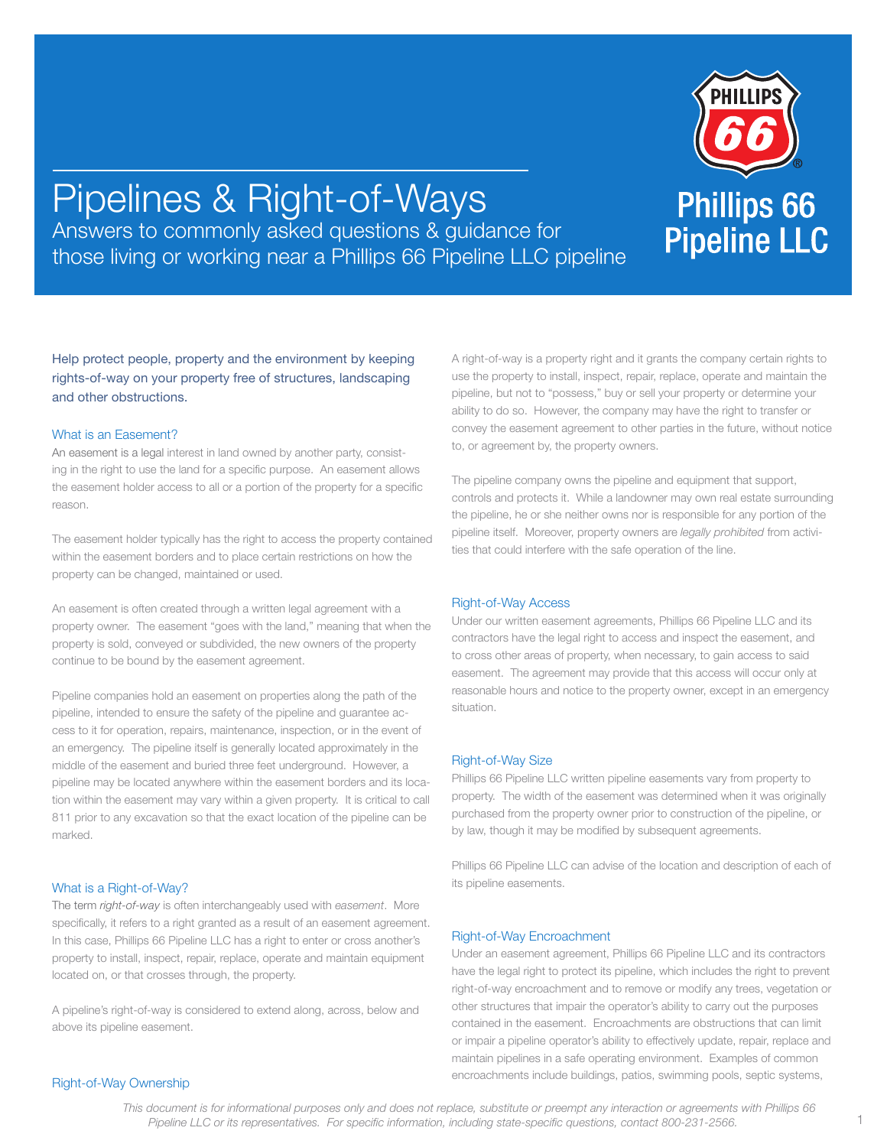

# Pipelines & Right-of-Ways Answers to commonly asked questions & guidance for those living or working near a Phillips 66 Pipeline LLC pipeline

Help protect people, property and the environment by keeping rights-of-way on your property free of structures, landscaping and other obstructions.

## What is an Easement?

An easement is a legal interest in land owned by another party, consisting in the right to use the land for a specific purpose. An easement allows the easement holder access to all or a portion of the property for a specific reason.

The easement holder typically has the right to access the property contained within the easement borders and to place certain restrictions on how the property can be changed, maintained or used.

An easement is often created through a written legal agreement with a property owner. The easement "goes with the land," meaning that when the property is sold, conveyed or subdivided, the new owners of the property continue to be bound by the easement agreement.

Pipeline companies hold an easement on properties along the path of the pipeline, intended to ensure the safety of the pipeline and guarantee access to it for operation, repairs, maintenance, inspection, or in the event of an emergency. The pipeline itself is generally located approximately in the middle of the easement and buried three feet underground. However, a pipeline may be located anywhere within the easement borders and its location within the easement may vary within a given property. It is critical to call 811 prior to any excavation so that the exact location of the pipeline can be marked.

## What is a Right-of-Way?

The term *right-of-way* is often interchangeably used with *easement*. More specifically, it refers to a right granted as a result of an easement agreement. In this case, Phillips 66 Pipeline LLC has a right to enter or cross another's property to install, inspect, repair, replace, operate and maintain equipment located on, or that crosses through, the property.

A pipeline's right-of-way is considered to extend along, across, below and above its pipeline easement.

A right-of-way is a property right and it grants the company certain rights to use the property to install, inspect, repair, replace, operate and maintain the pipeline, but not to "possess," buy or sell your property or determine your ability to do so. However, the company may have the right to transfer or convey the easement agreement to other parties in the future, without notice to, or agreement by, the property owners.

The pipeline company owns the pipeline and equipment that support, controls and protects it. While a landowner may own real estate surrounding the pipeline, he or she neither owns nor is responsible for any portion of the pipeline itself. Moreover, property owners are *legally prohibited* from activities that could interfere with the safe operation of the line.

#### Right-of-Way Access

Under our written easement agreements, Phillips 66 Pipeline LLC and its contractors have the legal right to access and inspect the easement, and to cross other areas of property, when necessary, to gain access to said easement. The agreement may provide that this access will occur only at reasonable hours and notice to the property owner, except in an emergency situation.

## Right-of-Way Size

Phillips 66 Pipeline LLC written pipeline easements vary from property to property. The width of the easement was determined when it was originally purchased from the property owner prior to construction of the pipeline, or by law, though it may be modified by subsequent agreements.

Phillips 66 Pipeline LLC can advise of the location and description of each of its pipeline easements.

#### Right-of-Way Encroachment

Under an easement agreement, Phillips 66 Pipeline LLC and its contractors have the legal right to protect its pipeline, which includes the right to prevent right-of-way encroachment and to remove or modify any trees, vegetation or other structures that impair the operator's ability to carry out the purposes contained in the easement. Encroachments are obstructions that can limit or impair a pipeline operator's ability to effectively update, repair, replace and maintain pipelines in a safe operating environment. Examples of common encroachments include buildings, patios, swimming pools, septic systems,

## Right-of-Way Ownership

*This document is for informational purposes only and does not replace, substitute or preempt any interaction or agreements with Phillips 66 Pipeline LLC or its representatives. For specific information, including state-specific questions, contact 800-231-2566.*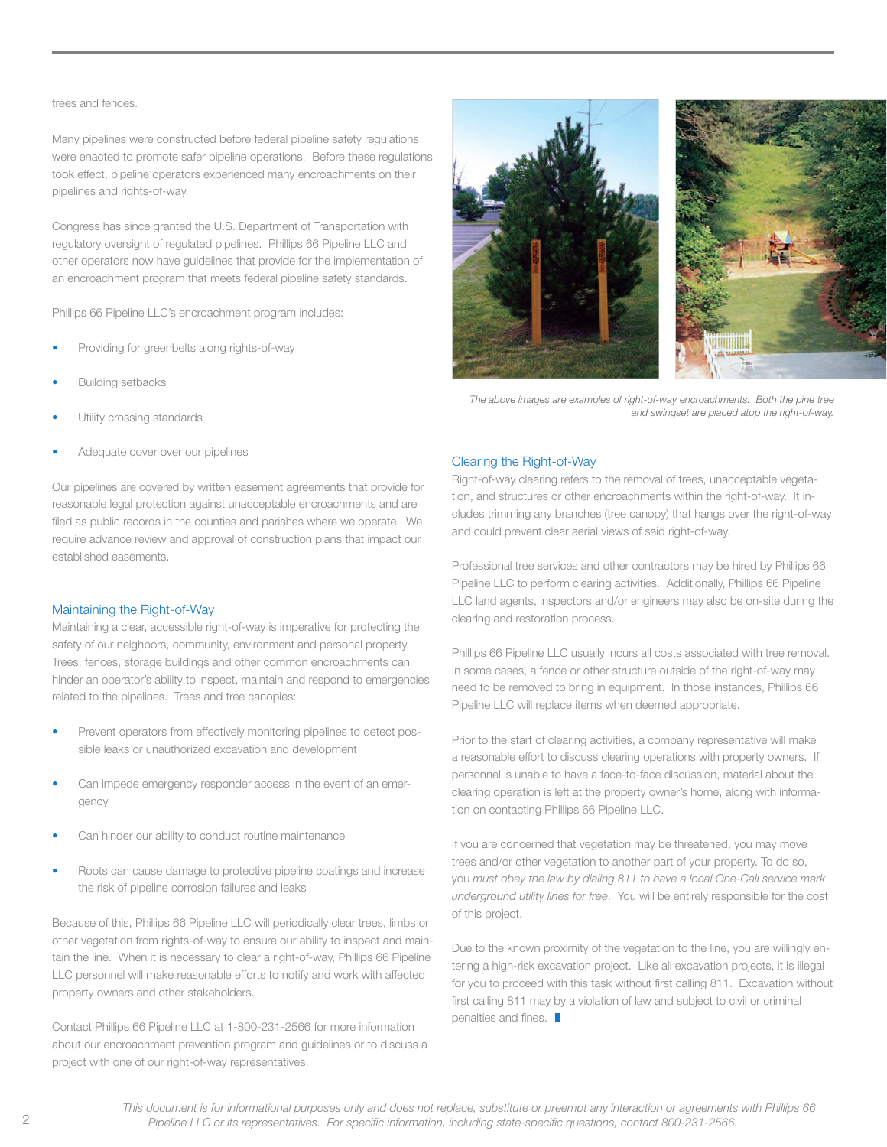#### trees and fences.

Many pipelines were constructed before federal pipeline safety regulations were enacted to promote safer pipeline operations. Before these regulations took effect, pipeline operators experienced many encroachments on their pipelines and rights-of-way.

Congress has since granted the U.S. Department of Transportation with regulatory oversight of regulated pipelines. Phillips 66 Pipeline LLC and other operators now have guidelines that provide for the implementation of an encroachment program that meets federal pipeline safety standards.

Phillips 66 Pipeline LLC's encroachment program includes:

- Providing for greenbelts along rights-of-way
- **Building setbacks**
- Utility crossing standards
- Adequate cover over our pipelines

Our pipelines are covered by written easement agreements that provide for reasonable legal protection against unacceptable encroachments and are filed as public records in the counties and parishes where we operate. We require advance review and approval of construction plans that impact our established easements.

#### Maintaining the Right-of-Way

Maintaining a clear, accessible right-of-way is imperative for protecting the safety of our neighbors, community, environment and personal property. Trees, fences, storage buildings and other common encroachments can hinder an operator's ability to inspect, maintain and respond to emergencies related to the pipelines. Trees and tree canopies:

- Prevent operators from effectively monitoring pipelines to detect possible leaks or unauthorized excavation and development
- Can impede emergency responder access in the event of an emergency
- Can hinder our ability to conduct routine maintenance
- Roots can cause damage to protective pipeline coatings and increase the risk of pipeline corrosion failures and leaks

Because of this, Phillips 66 Pipeline LLC will periodically clear trees, limbs or other vegetation from rights-of-way to ensure our ability to inspect and maintain the line. When it is necessary to clear a right-of-way, Phillips 66 Pipeline LLC personnel will make reasonable efforts to notify and work with affected property owners and other stakeholders.

Contact Phillips 66 Pipeline LLC at 1-800-231-2566 for more information about our encroachment prevention program and guidelines or to discuss a project with one of our right-of-way representatives.



*The above images are examples of right-of-way encroachments. Both the pine tree and swingset are placed atop the right-of-way.* 

#### Clearing the Right-of-Way

Right-of-way clearing refers to the removal of trees, unacceptable vegetation, and structures or other encroachments within the right-of-way. It includes trimming any branches (tree canopy) that hangs over the right-of-way and could prevent clear aerial views of said right-of-way.

Professional tree services and other contractors may be hired by Phillips 66 Pipeline LLC to perform clearing activities. Additionally, Phillips 66 Pipeline LLC land agents, inspectors and/or engineers may also be on-site during the clearing and restoration process.

Phillips 66 Pipeline LLC usually incurs all costs associated with tree removal. In some cases, a fence or other structure outside of the right-of-way may need to be removed to bring in equipment. In those instances, Phillips 66 Pipeline LLC will replace items when deemed appropriate.

Prior to the start of clearing activities, a company representative will make a reasonable effort to discuss clearing operations with property owners. If personnel is unable to have a face-to-face discussion, material about the clearing operation is left at the property owner's home, along with information on contacting Phillips 66 Pipeline LLC.

If you are concerned that vegetation may be threatened, you may move trees and/or other vegetation to another part of your property. To do so, you *must obey the law by dialing 811 to have a local One-Call service mark underground utility lines for free*. You will be entirely responsible for the cost of this project.

Due to the known proximity of the vegetation to the line, you are willingly entering a high-risk excavation project. Like all excavation projects, it is illegal for you to proceed with this task without first calling 811. Excavation without first calling 811 may by a violation of law and subject to civil or criminal penalties and fines.